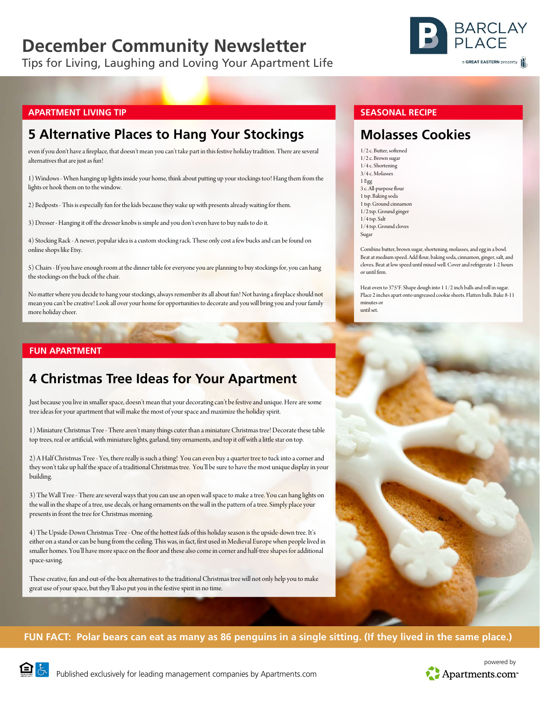# **December Community Newsletter**

Tips for Living, Laughing and Loving Your Apartment Life



#### **APARTMENT LIVING TIP**

## **5 Alternative Places to Hang Your Stockings**

even if you don't have a fireplace, that doesn't mean you can't take part in this festive holiday tradition. There are several alternatives that are just as fun!

1) Windows - When hanging up lights inside your home, think about putting up your stockings too! Hang them from the lights or hook them on to the window.

2) Bedposts - This is especially fun for the kids because they wake up with presents already waiting for them.

3) Dresser - Hanging it off the dresser knobs is simple and you don't even have to buy nails to do it.

4) Stocking Rack - A newer, popular idea is a custom stocking rack. These only cost a few bucks and can be found on online shops like Etsy.

5) Chairs - If you have enough room at the dinner table for everyone you are planning to buy stockings for, you can hang the stockings on the back of the chair.

No matter where you decide to hang your stockings, always remember its all about fun! Not having a fireplace should not mean you can't be creative! Look all over your home for opportunities to decorate and you will bring you and your family more holiday cheer.

#### **FUN APARTMENT**

## **4 Christmas Tree Ideas for Your Apartment**

Just because you live in smaller space, doesn't mean that your decorating can't be festive and unique. Here are some tree ideas for your apartment that will make the most of your space and maximize the holiday spirit.

1) Miniature Christmas Tree - There aren't many things cuter than a miniature Christmas tree! Decorate these table top trees, real or artificial, with miniature lights, garland, tiny ornaments, and top it off with a little star on top.

2) A Half Christmas Tree - Yes, there really is such a thing! You can even buy a quarter tree to tuck into a corner and they won't take up half the space of a traditional Christmas tree. You'll be sure to have the most unique display in your building.

3) The Wall Tree - There are several ways that you can use an open wall space to make a tree. You can hang lights on the wall in the shape of a tree, use decals, or hang ornaments on the wall in the pattern of a tree. Simply place your presents in front the tree for Christmas morning.

4) The Upside-Down Christmas Tree - One of the hottest fads of this holiday season is the upside-down tree. It's either on a stand or can be hung from the ceiling. This was, in fact, first used in Medieval Europe when people lived in smaller homes. You'll have more space on the floor and these also come in corner and half-tree shapes for additional space-saving.

These creative, fun and out-of-the-box alternatives to the traditional Christmas tree will not only help you to make great use of your space, but they'll also put you in the festive spirit in no time.

#### **SEASONAL RECIPE**

### **Molasses Cookies**

1/2 c. Butter, softened  $1/2$  c. Brown sugar 1/4 c. Shortening 3/4 c. Molasses 1 Egg 3 c. All-purpose flour 1 tsp. Baking soda 1 tsp. Ground cinnamon 1/2 tsp. Ground ginger 1/4 tsp. Salt 1/4 tsp. Ground cloves Sugar

Combine butter, brown sugar, shortening, molasses, and egg in a bowl. Beat at medium speed. Add flour, baking soda, cinnamon, ginger, salt, and cloves. Beat at low speed until mixed well. Cover and refrigerate 1-2 hours or until firm.

Heat oven to 375°F. Shape dough into 1 1/2 inch balls and roll in sugar. Place 2 inches apart onto ungreased cookie sheets. Flatten balls. Bake 8-11 minutes or until set.



#### **FUN FACT: Polar bears can eat as many as 86 penguins in a single sitting. (If they lived in the same place.)**